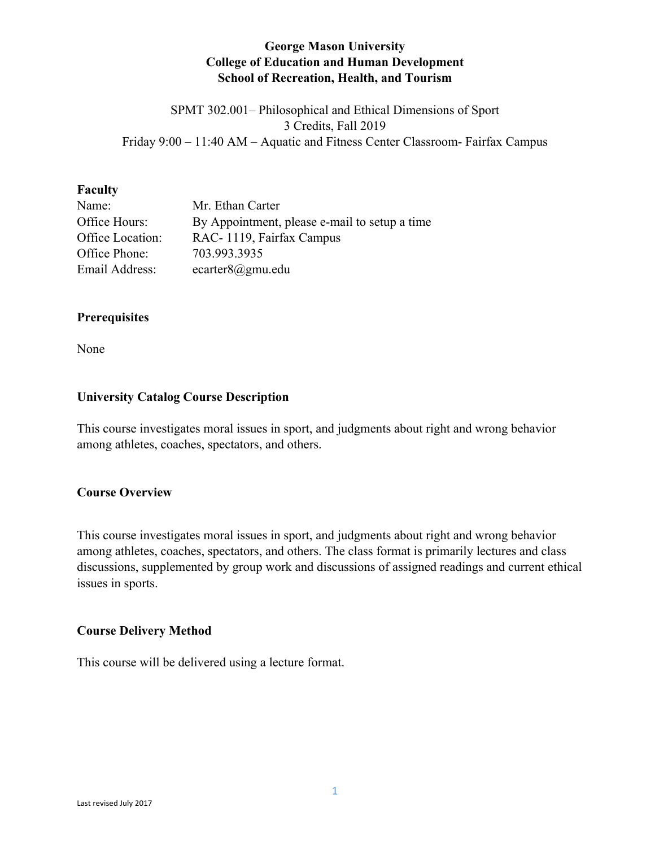# **George Mason University College of Education and Human Development School of Recreation, Health, and Tourism**

SPMT 302.001– Philosophical and Ethical Dimensions of Sport 3 Credits, Fall 2019 Friday 9:00 – 11:40 AM – Aquatic and Fitness Center Classroom- Fairfax Campus

#### **Faculty**

| Name:            | Mr. Ethan Carter                              |
|------------------|-----------------------------------------------|
| Office Hours:    | By Appointment, please e-mail to setup a time |
| Office Location: | RAC-1119, Fairfax Campus                      |
| Office Phone:    | 703.993.3935                                  |
| Email Address:   | ecarter $8@gmu$ .edu                          |

### **Prerequisites**

None

### **University Catalog Course Description**

This course investigates moral issues in sport, and judgments about right and wrong behavior among athletes, coaches, spectators, and others.

### **Course Overview**

This course investigates moral issues in sport, and judgments about right and wrong behavior among athletes, coaches, spectators, and others. The class format is primarily lectures and class discussions, supplemented by group work and discussions of assigned readings and current ethical issues in sports.

### **Course Delivery Method**

This course will be delivered using a lecture format.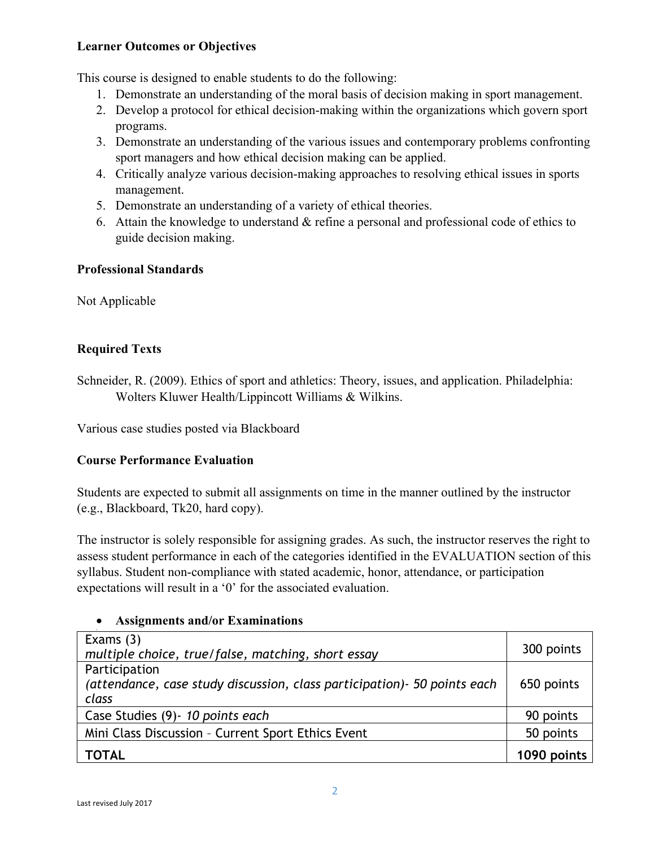# **Learner Outcomes or Objectives**

This course is designed to enable students to do the following:

- 1. Demonstrate an understanding of the moral basis of decision making in sport management.
- 2. Develop a protocol for ethical decision-making within the organizations which govern sport programs.
- 3. Demonstrate an understanding of the various issues and contemporary problems confronting sport managers and how ethical decision making can be applied.
- 4. Critically analyze various decision-making approaches to resolving ethical issues in sports management.
- 5. Demonstrate an understanding of a variety of ethical theories.
- 6. Attain the knowledge to understand & refine a personal and professional code of ethics to guide decision making.

# **Professional Standards**

Not Applicable

# **Required Texts**

Schneider, R. (2009). Ethics of sport and athletics: Theory, issues, and application. Philadelphia: Wolters Kluwer Health/Lippincott Williams & Wilkins.

Various case studies posted via Blackboard

# **Course Performance Evaluation**

Students are expected to submit all assignments on time in the manner outlined by the instructor (e.g., Blackboard, Tk20, hard copy).

The instructor is solely responsible for assigning grades. As such, the instructor reserves the right to assess student performance in each of the categories identified in the EVALUATION section of this syllabus. Student non-compliance with stated academic, honor, attendance, or participation expectations will result in a '0' for the associated evaluation.

# • **Assignments and/or Examinations**

| Exams $(3)$<br>multiple choice, true/false, matching, short essay                  | 300 points  |
|------------------------------------------------------------------------------------|-------------|
| Participation                                                                      |             |
| (attendance, case study discussion, class participation) - 50 points each<br>class | 650 points  |
| Case Studies (9) - 10 points each                                                  | 90 points   |
| Mini Class Discussion - Current Sport Ethics Event                                 | 50 points   |
| <b>TOTAL</b>                                                                       | 1090 points |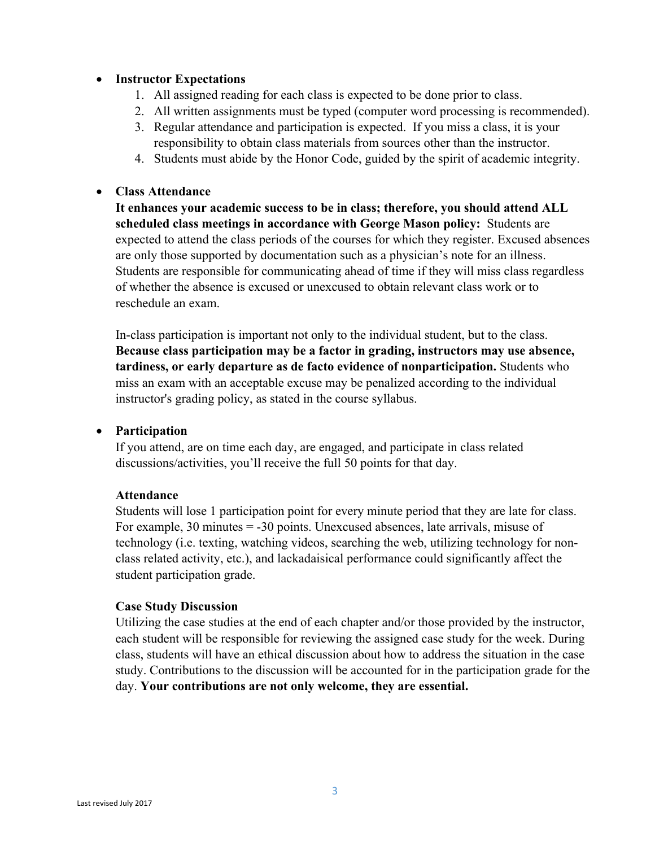### • **Instructor Expectations**

- 1. All assigned reading for each class is expected to be done prior to class.
- 2. All written assignments must be typed (computer word processing is recommended).
- 3. Regular attendance and participation is expected. If you miss a class, it is your responsibility to obtain class materials from sources other than the instructor.
- 4. Students must abide by the Honor Code, guided by the spirit of academic integrity.

### • **Class Attendance**

**It enhances your academic success to be in class; therefore, you should attend ALL scheduled class meetings in accordance with George Mason policy:** Students are expected to attend the class periods of the courses for which they register. Excused absences are only those supported by documentation such as a physician's note for an illness. Students are responsible for communicating ahead of time if they will miss class regardless of whether the absence is excused or unexcused to obtain relevant class work or to reschedule an exam.

In-class participation is important not only to the individual student, but to the class. **Because class participation may be a factor in grading, instructors may use absence, tardiness, or early departure as de facto evidence of nonparticipation.** Students who miss an exam with an acceptable excuse may be penalized according to the individual instructor's grading policy, as stated in the course syllabus.

#### • **Participation**

If you attend, are on time each day, are engaged, and participate in class related discussions/activities, you'll receive the full 50 points for that day.

#### **Attendance**

Students will lose 1 participation point for every minute period that they are late for class. For example, 30 minutes = -30 points. Unexcused absences, late arrivals, misuse of technology (i.e. texting, watching videos, searching the web, utilizing technology for nonclass related activity, etc.), and lackadaisical performance could significantly affect the student participation grade.

#### **Case Study Discussion**

Utilizing the case studies at the end of each chapter and/or those provided by the instructor, each student will be responsible for reviewing the assigned case study for the week. During class, students will have an ethical discussion about how to address the situation in the case study. Contributions to the discussion will be accounted for in the participation grade for the day. **Your contributions are not only welcome, they are essential.**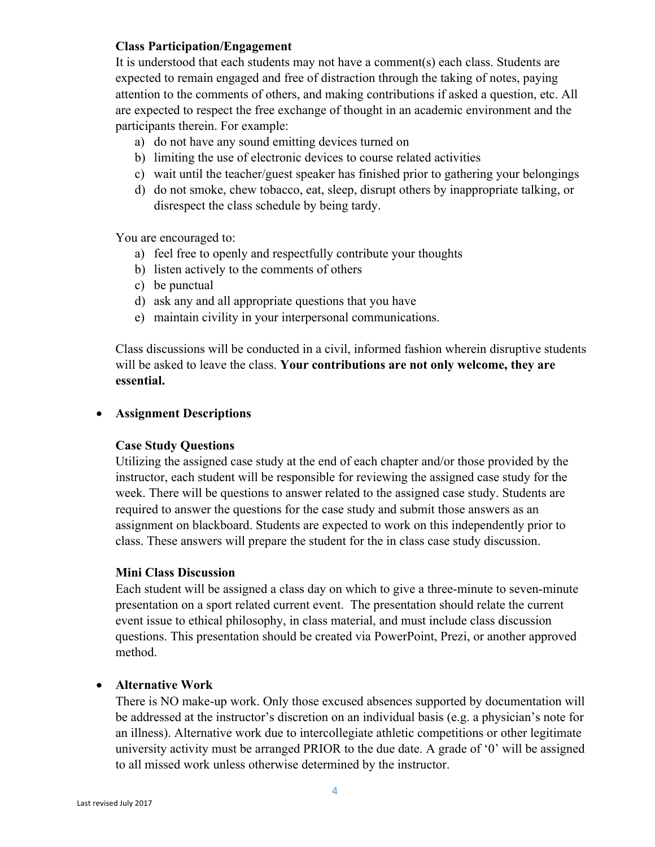### **Class Participation/Engagement**

It is understood that each students may not have a comment(s) each class. Students are expected to remain engaged and free of distraction through the taking of notes, paying attention to the comments of others, and making contributions if asked a question, etc. All are expected to respect the free exchange of thought in an academic environment and the participants therein. For example:

- a) do not have any sound emitting devices turned on
- b) limiting the use of electronic devices to course related activities
- c) wait until the teacher/guest speaker has finished prior to gathering your belongings
- d) do not smoke, chew tobacco, eat, sleep, disrupt others by inappropriate talking, or disrespect the class schedule by being tardy.

You are encouraged to:

- a) feel free to openly and respectfully contribute your thoughts
- b) listen actively to the comments of others
- c) be punctual
- d) ask any and all appropriate questions that you have
- e) maintain civility in your interpersonal communications.

Class discussions will be conducted in a civil, informed fashion wherein disruptive students will be asked to leave the class. **Your contributions are not only welcome, they are essential.**

### • **Assignment Descriptions**

### **Case Study Questions**

Utilizing the assigned case study at the end of each chapter and/or those provided by the instructor, each student will be responsible for reviewing the assigned case study for the week. There will be questions to answer related to the assigned case study. Students are required to answer the questions for the case study and submit those answers as an assignment on blackboard. Students are expected to work on this independently prior to class. These answers will prepare the student for the in class case study discussion.

### **Mini Class Discussion**

Each student will be assigned a class day on which to give a three-minute to seven-minute presentation on a sport related current event. The presentation should relate the current event issue to ethical philosophy, in class material, and must include class discussion questions. This presentation should be created via PowerPoint, Prezi, or another approved method.

### • **Alternative Work**

There is NO make-up work. Only those excused absences supported by documentation will be addressed at the instructor's discretion on an individual basis (e.g. a physician's note for an illness). Alternative work due to intercollegiate athletic competitions or other legitimate university activity must be arranged PRIOR to the due date. A grade of '0' will be assigned to all missed work unless otherwise determined by the instructor.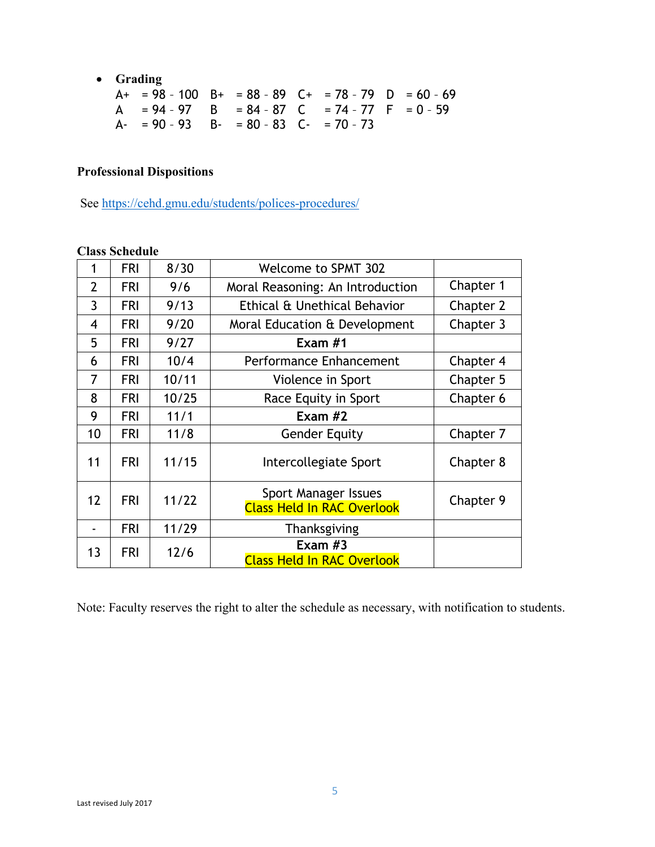• **Grading**

| $A+ = 98 - 100$ $B+ = 88 - 89$ $C+ = 78 - 79$ $D = 60 - 69$ |  |  |  |
|-------------------------------------------------------------|--|--|--|
| $A = 94 - 97$ B = 84 - 87 C = 74 - 77 F = 0 - 59            |  |  |  |
| $A - 90 - 93$ $B - 80 - 83$ $C - 70 - 73$                   |  |  |  |

# **Professional Dispositions**

See https://cehd.gmu.edu/students/polices-procedures/

#### **Class Schedule**

| $\mathbf{1}$   | <b>FRI</b> | 8/30  | <b>Welcome to SPMT 302</b>                                |           |
|----------------|------------|-------|-----------------------------------------------------------|-----------|
| $\overline{2}$ | <b>FRI</b> | 9/6   | Moral Reasoning: An Introduction                          | Chapter 1 |
| 3              | <b>FRI</b> | 9/13  | Ethical & Unethical Behavior                              | Chapter 2 |
| $\overline{4}$ | <b>FRI</b> | 9/20  | Moral Education & Development                             | Chapter 3 |
| 5              | <b>FRI</b> | 9/27  | Exam $#1$                                                 |           |
| 6              | <b>FRI</b> | 10/4  | Performance Enhancement                                   | Chapter 4 |
| 7              | <b>FRI</b> | 10/11 | Violence in Sport                                         | Chapter 5 |
| 8              | <b>FRI</b> | 10/25 | Race Equity in Sport                                      | Chapter 6 |
| 9              | <b>FRI</b> | 11/1  | Exam $#2$                                                 |           |
| 10             | <b>FRI</b> | 11/8  | <b>Gender Equity</b>                                      | Chapter 7 |
| 11             | <b>FRI</b> | 11/15 | Intercollegiate Sport                                     | Chapter 8 |
| 12             | <b>FRI</b> | 11/22 | Sport Manager Issues<br><b>Class Held In RAC Overlook</b> | Chapter 9 |
|                | <b>FRI</b> | 11/29 | Thanksgiving                                              |           |
| 13             | <b>FRI</b> | 12/6  | Exam $#3$<br><b>Class Held In RAC Overlook</b>            |           |

Note: Faculty reserves the right to alter the schedule as necessary, with notification to students.